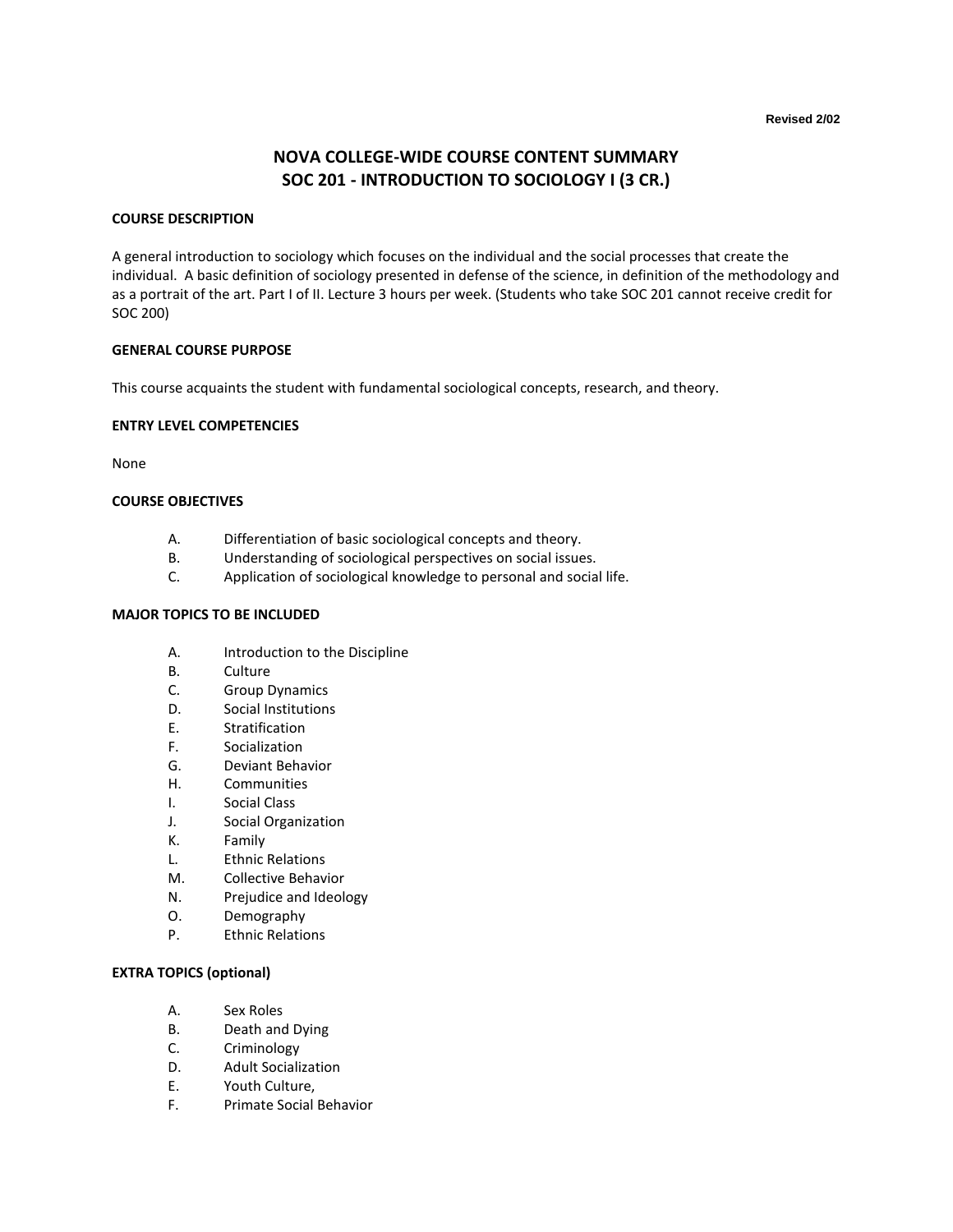# **NOVA COLLEGE-WIDE COURSE CONTENT SUMMARY SOC 201 - INTRODUCTION TO SOCIOLOGY I (3 CR.)**

### **COURSE DESCRIPTION**

A general introduction to sociology which focuses on the individual and the social processes that create the individual. A basic definition of sociology presented in defense of the science, in definition of the methodology and as a portrait of the art. Part I of II. Lecture 3 hours per week. (Students who take SOC 201 cannot receive credit for SOC 200)

# **GENERAL COURSE PURPOSE**

This course acquaints the student with fundamental sociological concepts, research, and theory.

## **ENTRY LEVEL COMPETENCIES**

None

## **COURSE OBJECTIVES**

- A. Differentiation of basic sociological concepts and theory.
- B. Understanding of sociological perspectives on social issues.
- C. Application of sociological knowledge to personal and social life.

# **MAJOR TOPICS TO BE INCLUDED**

- A. Introduction to the Discipline
- B. Culture
- C. Group Dynamics
- D. Social Institutions
- E. Stratification
- F. Socialization
- G. Deviant Behavior
- H. Communities
- I. Social Class
- J. Social Organization
- K. Family
- L. Ethnic Relations
- M. Collective Behavior
- N. Prejudice and Ideology
- O. Demography
- P. Ethnic Relations

#### **EXTRA TOPICS (optional)**

- A. Sex Roles
- B. Death and Dying
- C. Criminology
- D. Adult Socialization
- E. Youth Culture,
- F. Primate Social Behavior